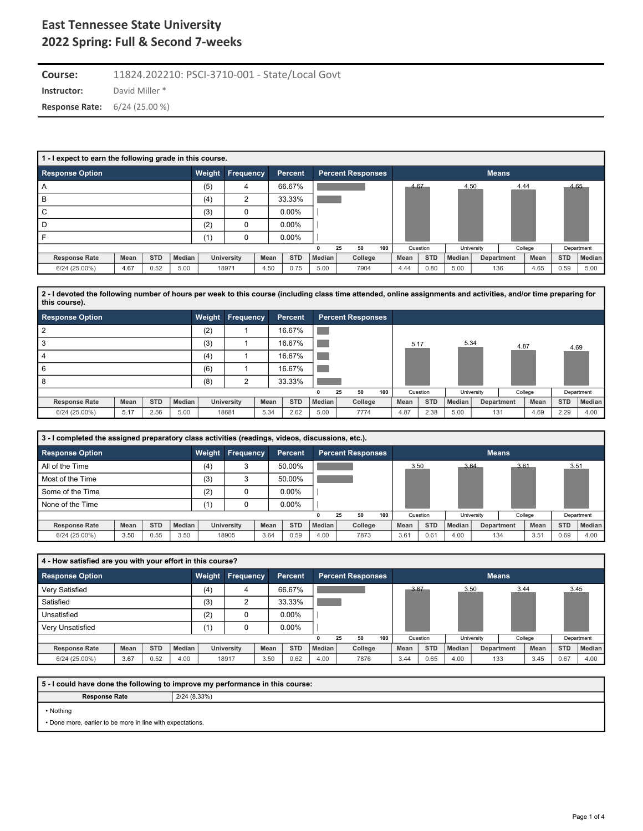**Instructor:** David Miller \* **Course:** 11824.202210: PSCI-3710-001 - State/Local Govt **Response Rate:** 6/24 (25.00 %)

| 1 - I expect to earn the following grade in this course. |      |            |        |        |                  |      |            |               |                          |     |      |            |               |            |              |         |            |               |
|----------------------------------------------------------|------|------------|--------|--------|------------------|------|------------|---------------|--------------------------|-----|------|------------|---------------|------------|--------------|---------|------------|---------------|
| <b>Response Option</b>                                   |      |            |        | Weight | <b>Frequency</b> |      | Percent    |               | <b>Percent Responses</b> |     |      |            |               |            | <b>Means</b> |         |            |               |
| A                                                        |      |            |        | (5)    | 4                |      | 66.67%     |               |                          |     | 4.67 |            | 4.50          |            | 4.44         |         |            | 4.65          |
| B                                                        |      |            |        | (4)    | ົ                |      | 33.33%     |               |                          |     |      |            |               |            |              |         |            |               |
| C                                                        |      |            |        | (3)    | 0                |      | $0.00\%$   |               |                          |     |      |            |               |            |              |         |            |               |
| D                                                        |      |            |        | (2)    | 0                |      | $0.00\%$   |               |                          |     |      |            |               |            |              |         |            |               |
|                                                          |      |            |        | (1)    | 0                |      | $0.00\%$   |               |                          |     |      |            |               |            |              |         |            |               |
|                                                          |      |            |        |        |                  |      |            | 0             | 50<br>25                 | 100 |      | Question   |               | University |              | College |            | Department    |
| <b>Response Rate</b>                                     | Mean | <b>STD</b> | Median |        | University       | Mean | <b>STD</b> | <b>Median</b> | College                  |     | Mean | <b>STD</b> | <b>Median</b> |            | Department   | Mean    | <b>STD</b> | <b>Median</b> |
| $6/24(25.00\%)$                                          | 4.67 | 0.52       | 5.00   |        | 18971            | 4.50 | 0.75       | 5.00          | 7904                     |     | 4.44 | 0.80       | 5.00          |            | 136          | 4.65    | 0.59       | 5.00          |

**2 - I devoted the following number of hours per week to this course (including class time attended, online assignments and activities, and/or time preparing for this course).**

| <b>Response Option</b> |      |            |        | Weight | Frequency  |      | <b>Percent</b> |        | Percent Responses |         |     |      |            |        |            |            |         |            |            |
|------------------------|------|------------|--------|--------|------------|------|----------------|--------|-------------------|---------|-----|------|------------|--------|------------|------------|---------|------------|------------|
|                        |      |            |        | (2)    |            |      | 16.67%         |        |                   |         |     |      |            |        |            |            |         |            |            |
|                        |      |            |        | (3)    |            |      | 16.67%         |        |                   |         |     | 5.17 |            | 5.34   |            | 4.87       |         | 4.69       |            |
|                        |      |            |        | (4)    |            |      | 16.67%         |        |                   |         |     |      |            |        |            |            |         |            |            |
| 6                      |      |            |        | (6)    |            |      | 16.67%         |        |                   |         |     |      |            |        |            |            |         |            |            |
|                        |      |            |        | (8)    | $\sqrt{2}$ |      | 33.33%         |        |                   |         |     |      |            |        |            |            |         |            |            |
|                        |      |            |        |        |            |      |                | 0      | 25                | 50      | 100 |      | Question   |        | University |            | College |            | Department |
| <b>Response Rate</b>   | Mean | <b>STD</b> | Median |        | University | Mean | <b>STD</b>     | Median |                   | College |     | Mean | <b>STD</b> | Median |            | Department | Mean    | <b>STD</b> | Median     |
| 6/24 (25.00%)          | 5.17 | 2.56       | 5.00   |        | 18681      | 5.34 | 2.62           | 5.00   |                   | 7774    |     | 4.87 | 2.38       | 5.00   |            | 131        | 4.69    | 2.29       | 4.00       |

| 3 - I completed the assigned preparatory class activities (readings, videos, discussions, etc.). |      |            |               |        |                  |      |                |               |    |                          |     |          |            |        |            |              |         |            |            |
|--------------------------------------------------------------------------------------------------|------|------------|---------------|--------|------------------|------|----------------|---------------|----|--------------------------|-----|----------|------------|--------|------------|--------------|---------|------------|------------|
| <b>Response Option</b>                                                                           |      |            |               | Weight | <b>Frequency</b> |      | <b>Percent</b> |               |    | <b>Percent Responses</b> |     |          |            |        |            | <b>Means</b> |         |            |            |
| All of the Time                                                                                  |      |            |               | (4)    | 3                |      | 50.00%         |               |    |                          |     | 3.50     |            | 3.64   |            | 3.61         |         | 3.51       |            |
| Most of the Time                                                                                 |      |            |               | (3)    | 3                |      | 50.00%         |               |    |                          |     |          |            |        |            |              |         |            |            |
| Some of the Time                                                                                 |      |            |               | (2)    | 0                |      | $0.00\%$       |               |    |                          |     |          |            |        |            |              |         |            |            |
| None of the Time                                                                                 |      |            |               | (1)    | 0                |      | $0.00\%$       |               |    |                          |     |          |            |        |            |              |         |            |            |
|                                                                                                  |      |            |               |        |                  |      |                |               | 25 | 50                       | 100 | Question |            |        | University |              | College |            | Department |
| <b>Response Rate</b>                                                                             | Mean | <b>STD</b> | <b>Median</b> |        | University       | Mean | <b>STD</b>     | <b>Median</b> |    | College                  |     | Mean     | <b>STD</b> | Median |            | Department   | Mean    | <b>STD</b> | Median     |
| 6/24 (25.00%)                                                                                    | 3.50 | 0.55       | 3.50          |        | 18905            | 3.64 | 0.59           | 4.00          |    | 7873                     |     | 3.61     | 0.61       | 4.00   |            | 134          | 3.51    | 0.69       | 4.00       |

| 4 - How satisfied are you with your effort in this course? |      |            |               |     |                         |      |                |        |    |                          |     |      |            |        |            |              |         |            |            |
|------------------------------------------------------------|------|------------|---------------|-----|-------------------------|------|----------------|--------|----|--------------------------|-----|------|------------|--------|------------|--------------|---------|------------|------------|
| <b>Response Option</b>                                     |      |            |               |     | <b>Weight Frequency</b> |      | <b>Percent</b> |        |    | <b>Percent Responses</b> |     |      |            |        |            | <b>Means</b> |         |            |            |
| Very Satisfied                                             |      |            |               | (4) | 4                       |      | 66.67%         |        |    |                          |     | 3.67 |            | 3.50   |            | 3.44         |         | 3.45       |            |
| Satisfied                                                  |      |            |               | (3) | ◠                       |      | 33.33%         |        |    |                          |     |      |            |        |            |              |         |            |            |
| Unsatisfied                                                |      |            |               | (2) | 0                       |      | $0.00\%$       |        |    |                          |     |      |            |        |            |              |         |            |            |
| Verv Unsatisfied                                           |      |            |               | (1) | 0                       |      | $0.00\%$       |        |    |                          |     |      |            |        |            |              |         |            |            |
|                                                            |      |            |               |     |                         |      |                |        | 25 | 50                       | 100 |      | Question   |        | University |              | College |            | Department |
| <b>Response Rate</b>                                       | Mean | <b>STD</b> | <b>Median</b> |     | University              | Mean | <b>STD</b>     | Median |    | College                  |     | Mean | <b>STD</b> | Median |            | Department   | Mean    | <b>STD</b> | Median     |
| $6/24(25.00\%)$                                            | 3.67 | 0.52       | 4.00          |     | 18917                   | 3.50 | 0.62           | 4.00   |    | 7876                     |     | 3.44 | 0.65       | 4.00   |            | 133          | 3.45    | 0.67       | 4.00       |

**5 - I could have done the following to improve my performance in this course:**

**Response Rate** 2/24 (8.33%)

• Nothing

• Done more, earlier to be more in line with expectations.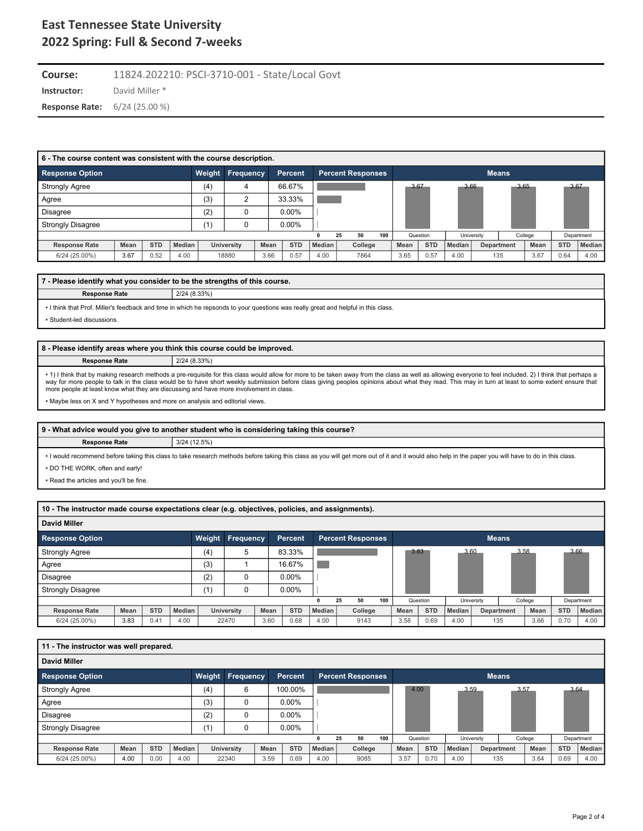**Instructor:** David Miller \* **Course:** 11824.202210: PSCI-3710-001 - State/Local Govt **Response Rate:** 6/24 (25.00 %)

| 6 - The course content was consistent with the course description. |      |            |               |        |            |      |                |               |                          |         |     |      |            |               |            |              |         |            |            |
|--------------------------------------------------------------------|------|------------|---------------|--------|------------|------|----------------|---------------|--------------------------|---------|-----|------|------------|---------------|------------|--------------|---------|------------|------------|
| <b>Response Option</b>                                             |      |            |               | Weight | Frequency  |      | <b>Percent</b> |               | <b>Percent Responses</b> |         |     |      |            |               |            | <b>Means</b> |         |            |            |
| <b>Strongly Agree</b>                                              |      |            |               | (4)    |            |      | 66.67%         |               |                          |         |     | 3.67 |            |               | 3.66       | 3.65         |         | 3.67       |            |
| Agree                                                              |      |            |               | (3)    | ◠          |      | 33.33%         |               |                          |         |     |      |            |               |            |              |         |            |            |
| <b>Disagree</b>                                                    |      |            |               | (2)    |            |      | $0.00\%$       |               |                          |         |     |      |            |               |            |              |         |            |            |
| <b>Strongly Disagree</b>                                           |      |            |               | (1)    |            |      | 0.00%          |               |                          |         |     |      |            |               |            |              |         |            |            |
|                                                                    |      |            |               |        |            |      |                |               | 25                       | 50      | 100 |      | Question   |               | University |              | College |            | Department |
| <b>Response Rate</b>                                               | Mean | <b>STD</b> | <b>Median</b> |        | University | Mean | <b>STD</b>     | <b>Median</b> |                          | College |     | Mean | <b>STD</b> | <b>Median</b> |            | Department   | Mean    | <b>STD</b> | Median     |
| 6/24 (25.00%)                                                      | 3.67 | 0.52       | 4.00          |        | 18880      | 3.66 | 0.57           | 4.00          |                          | 7864    |     | 3.65 | 0.57       | 4.00          |            | 135          | 3.67    | 0.64       | 4.00       |

### **7 - Please identify what you consider to be the strengths of this course.**

**Response Rate** 2/24 (8.33%)

• I think that Prof. Miller's feedback and time in which he repsonds to your questions was really great and helpful in this class.

• Student-led discussions.

#### **8 - Please identify areas where you think this course could be improved.**

**Response Rate** 2/24 (8.33%)

• 1) I think that by making research methods a pre-requisite for this class would allow for more to be taken away from the class as well as allowing everyone to feel included. 2) I think that perhaps a way for more people to talk in the class would be to have short weekly submission before class giving peoples opinions about what they read. This may in turn at least to some extent ensure that more people at least know what they are discussing and have more involvement in class.

• Maybe less on X and Y hypotheses and more on analysis and editorial views.

|                      | 9 - What advice would you give to another student who is considering taking this course? |
|----------------------|------------------------------------------------------------------------------------------|
| <b>Response Rate</b> | 3/24(12.5%)                                                                              |

• I would recommend before taking this class to take research methods before taking this class as you will get more out of it and it would also help in the paper you will have to do in this class. • DO THE WORK, often and early!

• Read the articles and you'll be fine.

**10 - The instructor made course expectations clear (e.g. objectives, policies, and assignments).**

| <b>David Miller</b>      |      |            |               |        |                  |      |            |               |    |                          |     |      |            |        |            |              |             |            |               |
|--------------------------|------|------------|---------------|--------|------------------|------|------------|---------------|----|--------------------------|-----|------|------------|--------|------------|--------------|-------------|------------|---------------|
| <b>Response Option</b>   |      |            |               | Weight | <b>Frequency</b> |      | Percent    |               |    | <b>Percent Responses</b> |     |      |            |        |            | <b>Means</b> |             |            |               |
| <b>Strongly Agree</b>    |      |            |               | (4)    | 5                |      | 83.33%     |               |    |                          |     | 3.83 |            |        | 3.60       | 3.58         |             | 3.66       |               |
| Agree                    |      |            |               | (3)    |                  |      | 16.67%     |               |    |                          |     |      |            |        |            |              |             |            |               |
| <b>Disagree</b>          |      |            |               | (2)    | 0                |      | $0.00\%$   |               |    |                          |     |      |            |        |            |              |             |            |               |
| <b>Strongly Disagree</b> |      |            |               | (1)    | 0                |      | $0.00\%$   |               |    |                          |     |      |            |        |            |              |             |            |               |
|                          |      |            |               |        |                  |      |            | 0             | 25 | 50                       | 100 |      | Question   |        | University |              | College     |            | Department    |
| <b>Response Rate</b>     | Mean | <b>STD</b> | <b>Median</b> |        | University       | Mean | <b>STD</b> | <b>Median</b> |    | College                  |     | Mean | <b>STD</b> | Median |            | Department   | <b>Mean</b> | <b>STD</b> | <b>Median</b> |
| 6/24 (25.00%)            | 3.83 | 0.41       | 4.00          |        | 22470            | 3.60 | 0.68       | 4.00          |    | 9143                     |     | 3.58 | 0.69       | 4.00   |            | 135          | 3.66        | 0.70       | 4.00          |

### **11 - The instructor was well prepared. David Miller Response Option Weight Frequency Percent Percent Responses Means** Strongly Agree (4)  $(4)$  6 100.00% Agree (3) 0 0.00% (3) 0 0.00% Disagree (2) 0 0.00% Strongly Disagree (1)  $(1)$  0 0.00% 4.00 3.59 3.57 3.64 **0 25 50 100** | Question | University | College | Department **Response Rate Mean STD Median University Mean STD Median College Mean STD Median Department Mean STD Median** 6/24 (25.00%) | 4.00 | 0.00 | 4.00 | 22340 | 3.59 | 0.69 | 4.00 | 9085 | 3.57 | 0.70 | 4.00 | 135 | 3.64 | 0.69 | 4.00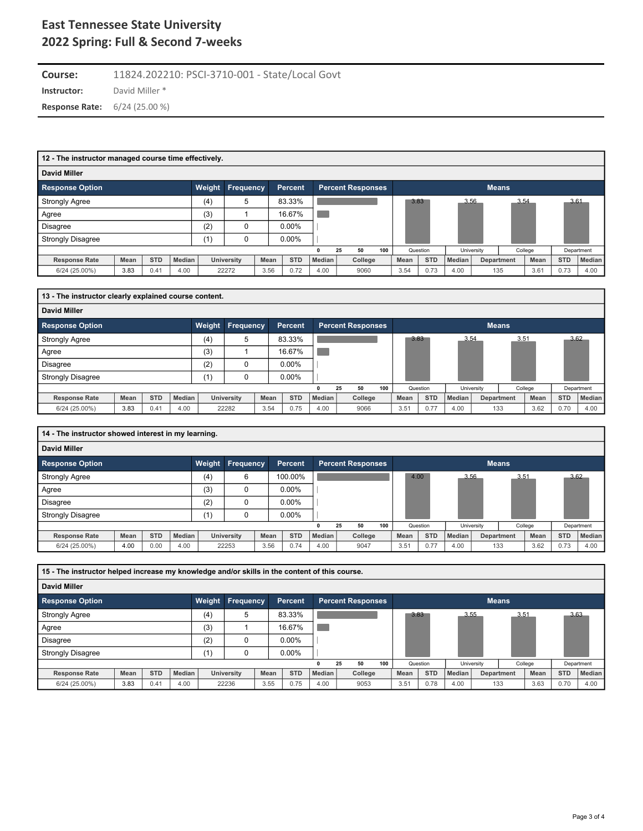**Instructor:** David Miller \* **Course:** 11824.202210: PSCI-3710-001 - State/Local Govt **Response Rate:** 6/24 (25.00 %)

| 12 - The instructor managed course time effectively. |      |            |        |        |                  |      |                |              |    |                          |     |      |            |        |            |              |         |            |               |
|------------------------------------------------------|------|------------|--------|--------|------------------|------|----------------|--------------|----|--------------------------|-----|------|------------|--------|------------|--------------|---------|------------|---------------|
| David Miller                                         |      |            |        |        |                  |      |                |              |    |                          |     |      |            |        |            |              |         |            |               |
| <b>Response Option</b>                               |      |            |        | Weight | <b>Frequency</b> |      | <b>Percent</b> |              |    | <b>Percent Responses</b> |     |      |            |        |            | <b>Means</b> |         |            |               |
| <b>Strongly Agree</b>                                |      |            |        | (4)    | 5                |      | 83.33%         |              |    |                          |     | 3.83 |            | 3.56   |            | 3.54         |         | 3.61       |               |
| Agree                                                |      |            |        | (3)    |                  |      | 16.67%         |              |    |                          |     |      |            |        |            |              |         |            |               |
| Disagree                                             |      |            |        | (2)    |                  |      | $0.00\%$       |              |    |                          |     |      |            |        |            |              |         |            |               |
| <b>Strongly Disagree</b>                             |      |            |        | (1)    |                  |      | $0.00\%$       |              |    |                          |     |      |            |        |            |              |         |            |               |
|                                                      |      |            |        |        |                  |      |                | $\mathbf{0}$ | 25 | 50                       | 100 |      | Question   |        | University |              | College |            | Department    |
| <b>Response Rate</b>                                 | Mean | <b>STD</b> | Median |        | University       | Mean | <b>STD</b>     | Median       |    | College                  |     | Mean | <b>STD</b> | Median |            | Department   | Mean    | <b>STD</b> | <b>Median</b> |
| 6/24 (25.00%)                                        | 3.83 | 0.41       | 4.00   |        | 22272            | 3.56 | 0.72           | 4.00         |    | 9060                     |     | 3.54 | 0.73       | 4.00   |            | 135          | 3.61    | 0.73       | 4.00          |

| 13 - The instructor clearly explained course content. |      |            |        |        |                   |      |            |        |                          |     |      |            |        |            |              |         |            |            |
|-------------------------------------------------------|------|------------|--------|--------|-------------------|------|------------|--------|--------------------------|-----|------|------------|--------|------------|--------------|---------|------------|------------|
| <b>David Miller</b>                                   |      |            |        |        |                   |      |            |        |                          |     |      |            |        |            |              |         |            |            |
| <b>Response Option</b>                                |      |            |        | Weight | <b>Frequency</b>  |      | Percent    |        | <b>Percent Responses</b> |     |      |            |        |            | <b>Means</b> |         |            |            |
| <b>Strongly Agree</b>                                 |      |            |        | (4)    | 5                 |      | 83.33%     |        |                          |     | 3.83 |            |        | 3.54       | 3.51         |         |            | 3.62       |
| Agree                                                 |      |            |        | (3)    |                   |      | 16.67%     |        |                          |     |      |            |        |            |              |         |            |            |
| <b>Disagree</b>                                       |      |            |        | (2)    |                   |      | $0.00\%$   |        |                          |     |      |            |        |            |              |         |            |            |
| <b>Strongly Disagree</b>                              |      |            |        | (1)    |                   |      | $0.00\%$   |        |                          |     |      |            |        |            |              |         |            |            |
|                                                       |      |            |        |        |                   |      |            |        | 50<br>25                 | 100 |      | Question   |        | University |              | College |            | Department |
| <b>Response Rate</b>                                  | Mean | <b>STD</b> | Median |        | <b>University</b> | Mean | <b>STD</b> | Median | College                  |     | Mean | <b>STD</b> | Median |            | Department   | Mean    | <b>STD</b> | Median     |
| 6/24 (25.00%)                                         | 3.83 | 0.41       | 4.00   |        | 22282             | 3.54 | 0.75       | 4.00   | 9066                     |     | 3.51 | 0.77       | 4.00   | 133        |              | 3.62    | 0.70       | 4.00       |

| 14 - The instructor showed interest in my learning. |      |            |        |        |                   |      |            |        |                          |     |      |            |        |              |      |         |            |            |
|-----------------------------------------------------|------|------------|--------|--------|-------------------|------|------------|--------|--------------------------|-----|------|------------|--------|--------------|------|---------|------------|------------|
| <b>David Miller</b>                                 |      |            |        |        |                   |      |            |        |                          |     |      |            |        |              |      |         |            |            |
| <b>Response Option</b>                              |      |            |        | Weight | <b>Frequency</b>  |      | Percent    |        | <b>Percent Responses</b> |     |      |            |        | <b>Means</b> |      |         |            |            |
| <b>Strongly Agree</b>                               |      |            |        | (4)    | 6                 |      | 100.00%    |        |                          |     | 4.00 |            | 3.56   |              | 3.51 |         | 3.62       |            |
| Agree                                               |      |            |        | (3)    | 0                 |      | $0.00\%$   |        |                          |     |      |            |        |              |      |         |            |            |
| <b>Disagree</b>                                     |      |            |        | (2)    | 0                 |      | $0.00\%$   |        |                          |     |      |            |        |              |      |         |            |            |
| <b>Strongly Disagree</b>                            |      |            |        | (1)    |                   |      | $0.00\%$   |        |                          |     |      |            |        |              |      |         |            |            |
|                                                     |      |            |        |        |                   |      |            |        | 50<br>25                 | 100 |      | Question   |        | University   |      | College |            | Department |
| <b>Response Rate</b>                                | Mean | <b>STD</b> | Median |        | <b>University</b> | Mean | <b>STD</b> | Median | College                  |     | Mean | <b>STD</b> | Median | Department   |      | Mean    | <b>STD</b> | Median     |
| 6/24 (25.00%)                                       | 4.00 | 0.00       | 4.00   |        | 22253             | 3.56 | 0.74       | 4.00   | 9047                     |     | 3.51 | 0.77       | 4.00   | 133          |      | 3.62    | 0.73       | 4.00       |

| 15 - The instructor helped increase my knowledge and/or skills in the content of this course. |      |            |        |        |                   |      |            |        |                          |     |      |            |        |                   |              |         |            |            |
|-----------------------------------------------------------------------------------------------|------|------------|--------|--------|-------------------|------|------------|--------|--------------------------|-----|------|------------|--------|-------------------|--------------|---------|------------|------------|
| <b>David Miller</b>                                                                           |      |            |        |        |                   |      |            |        |                          |     |      |            |        |                   |              |         |            |            |
| <b>Response Option</b>                                                                        |      |            |        | Weight | <b>Frequency</b>  |      | Percent    |        | <b>Percent Responses</b> |     |      |            |        |                   | <b>Means</b> |         |            |            |
| <b>Strongly Agree</b>                                                                         |      |            |        | (4)    | 5                 |      | 83.33%     |        |                          |     | 3.83 |            | 3.55   |                   | 3.51         |         | 3.63       |            |
| Agree                                                                                         |      |            |        | (3)    |                   |      | 16.67%     |        |                          |     |      |            |        |                   |              |         |            |            |
| <b>Disagree</b>                                                                               |      |            |        | (2)    |                   |      | $0.00\%$   |        |                          |     |      |            |        |                   |              |         |            |            |
| <b>Strongly Disagree</b>                                                                      |      |            |        | (1)    |                   |      | $0.00\%$   |        |                          |     |      |            |        |                   |              |         |            |            |
|                                                                                               |      |            |        |        |                   |      |            |        | 50<br>25                 | 100 |      | Question   |        | University        |              | College |            | Department |
| <b>Response Rate</b>                                                                          | Mean | <b>STD</b> | Median |        | <b>University</b> | Mean | <b>STD</b> | Median | College                  |     | Mean | <b>STD</b> | Median | <b>Department</b> |              | Mean    | <b>STD</b> | Median     |
| 6/24 (25.00%)                                                                                 | 3.83 | 0.41       | 4.00   |        | 22236             | 3.55 | 0.75       | 4.00   | 9053                     |     | 3.51 | 0.78       | 4.00   | 133               |              | 3.63    | 0.70       | 4.00       |